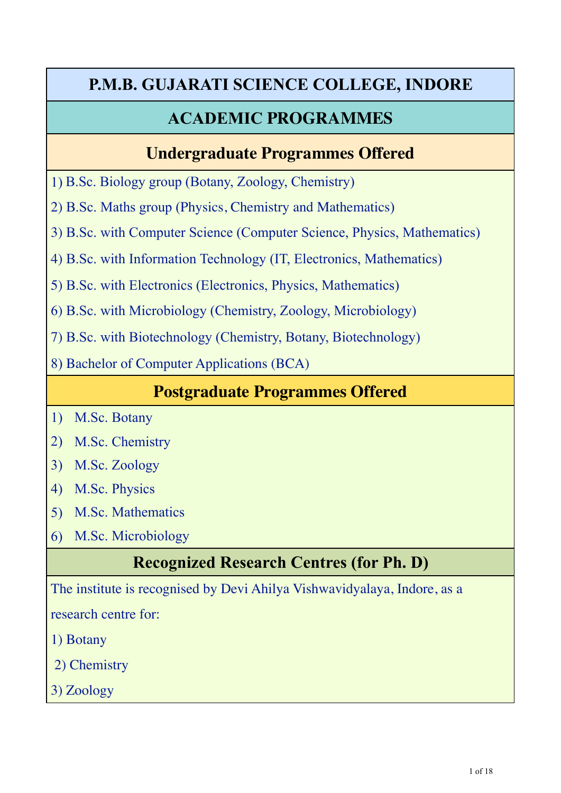# **P.M.B. GUJARATI SCIENCE COLLEGE, INDORE**

## **ACADEMIC PROGRAMMES**

## **Undergraduate Programmes Offered**

1) B.Sc. Biology group (Botany, Zoology, Chemistry)

2) B.Sc. Maths group (Physics, Chemistry and Mathematics)

3) B.Sc. with Computer Science (Computer Science, Physics, Mathematics)

4) B.Sc. with Information Technology (IT, Electronics, Mathematics)

5) B.Sc. with Electronics (Electronics, Physics, Mathematics)

6) B.Sc. with Microbiology (Chemistry, Zoology, Microbiology)

7) B.Sc. with Biotechnology (Chemistry, Botany, Biotechnology)

8) Bachelor of Computer Applications (BCA)

## **Postgraduate Programmes Offered**

- 1) M.Sc. Botany
- 2) M.Sc. Chemistry
- 3) M.Sc. Zoology
- 4) M.Sc. Physics
- 5) M.Sc. Mathematics
- 6) M.Sc. Microbiology

# **Recognized Research Centres (for Ph. D)**

The institute is recognised by Devi Ahilya Vishwavidyalaya, Indore, as a

research centre for:

- 1) Botany
- 2) Chemistry
- 3) Zoology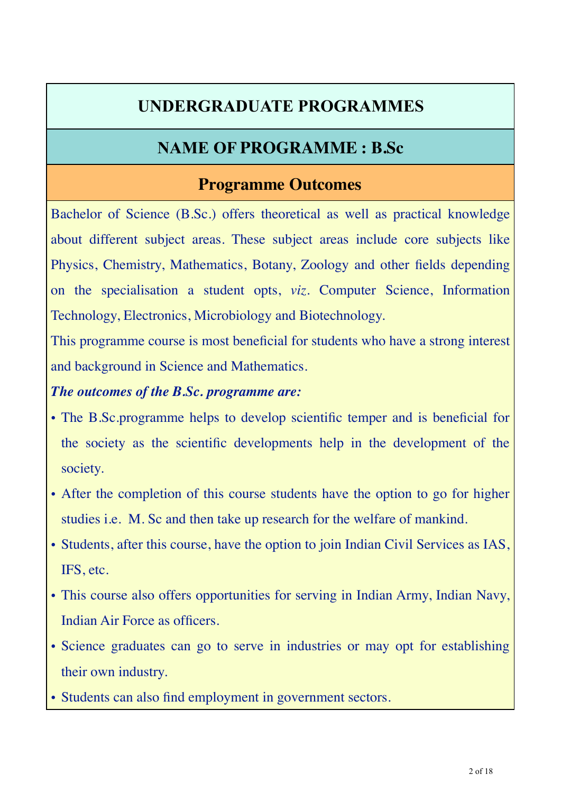## **UNDERGRADUATE PROGRAMMES**

## **NAME OF PROGRAMME : B.Sc**

## **Programme Outcomes**

Bachelor of Science (B.Sc.) offers theoretical as well as practical knowledge about different subject areas. These subject areas include core subjects like Physics, Chemistry, Mathematics, Botany, Zoology and other fields depending on the specialisation a student opts, *viz*. Computer Science, Information Technology, Electronics, Microbiology and Biotechnology.

This programme course is most beneficial for students who have a strong interest and background in Science and Mathematics.

### *The outcomes of the B.Sc. programme are:*

- The B.Sc.programme helps to develop scientific temper and is beneficial for the society as the scientific developments help in the development of the society.
- After the completion of this course students have the option to go for higher studies i.e. M. Sc and then take up research for the welfare of mankind.
- Students, after this course, have the option to join Indian Civil Services as IAS, IFS, etc.
- This course also offers opportunities for serving in Indian Army, Indian Navy, Indian Air Force as officers.
- Science graduates can go to serve in industries or may opt for establishing their own industry.
- Students can also find employment in government sectors.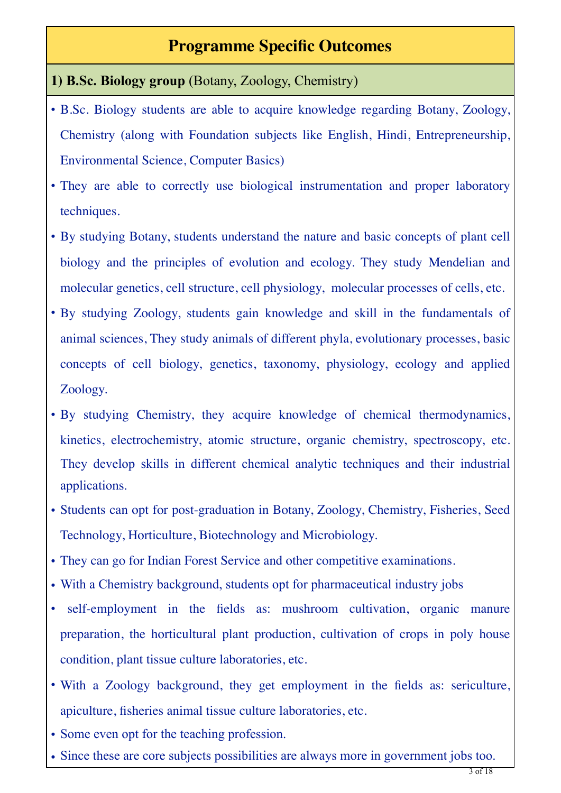## **Programme Specific Outcomes**

### **1) B.Sc. Biology group** (Botany, Zoology, Chemistry)

- B.Sc. Biology students are able to acquire knowledge regarding Botany, Zoology, Chemistry (along with Foundation subjects like English, Hindi, Entrepreneurship, Environmental Science, Computer Basics)
- They are able to correctly use biological instrumentation and proper laboratory techniques.
- By studying Botany, students understand the nature and basic concepts of plant cell biology and the principles of evolution and ecology. They study Mendelian and molecular genetics, cell structure, cell physiology, molecular processes of cells, etc.
- By studying Zoology, students gain knowledge and skill in the fundamentals of animal sciences, They study animals of different phyla, evolutionary processes, basic concepts of cell biology, genetics, taxonomy, physiology, ecology and applied Zoology.
- By studying Chemistry, they acquire knowledge of chemical thermodynamics, kinetics, electrochemistry, atomic structure, organic chemistry, spectroscopy, etc. They develop skills in different chemical analytic techniques and their industrial applications.
- Students can opt for post-graduation in Botany, Zoology, Chemistry, Fisheries, Seed Technology, Horticulture, Biotechnology and Microbiology.
- They can go for Indian Forest Service and other competitive examinations.
- With a Chemistry background, students opt for pharmaceutical industry jobs
- self-employment in the fields as: mushroom cultivation, organic manure preparation, the horticultural plant production, cultivation of crops in poly house condition, plant tissue culture laboratories, etc.
- With a Zoology background, they get employment in the fields as: sericulture, apiculture, fisheries animal tissue culture laboratories, etc.
- Some even opt for the teaching profession.
- Since these are core subjects possibilities are always more in government jobs too.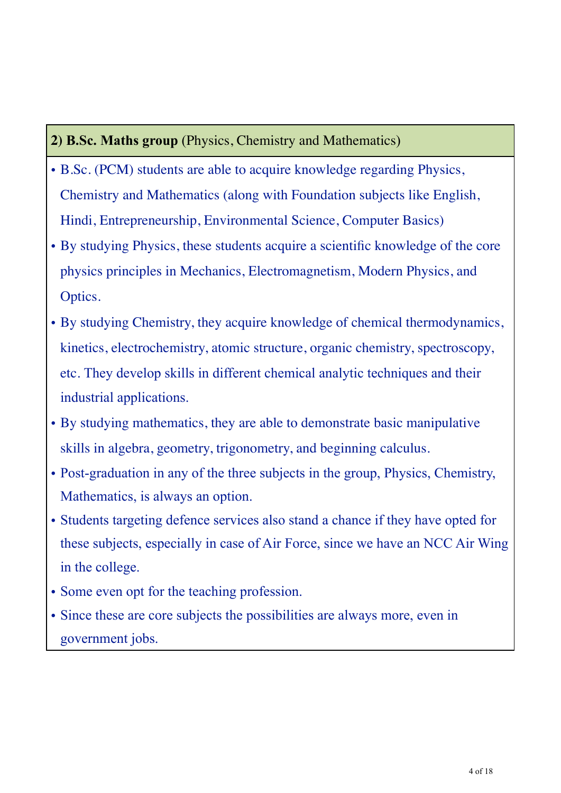### **2) B.Sc. Maths group** (Physics, Chemistry and Mathematics)

- B.Sc. (PCM) students are able to acquire knowledge regarding Physics, Chemistry and Mathematics (along with Foundation subjects like English, Hindi, Entrepreneurship, Environmental Science, Computer Basics)
- By studying Physics, these students acquire a scientific knowledge of the core physics principles in Mechanics, Electromagnetism, Modern Physics, and Optics.
- By studying Chemistry, they acquire knowledge of chemical thermodynamics, kinetics, electrochemistry, atomic structure, organic chemistry, spectroscopy, etc. They develop skills in different chemical analytic techniques and their industrial applications.
- By studying mathematics, they are able to demonstrate basic manipulative skills in algebra, geometry, trigonometry, and beginning calculus.
- Post-graduation in any of the three subjects in the group, Physics, Chemistry, Mathematics, is always an option.
- Students targeting defence services also stand a chance if they have opted for these subjects, especially in case of Air Force, since we have an NCC Air Wing in the college.
- Some even opt for the teaching profession.
- Since these are core subjects the possibilities are always more, even in government jobs.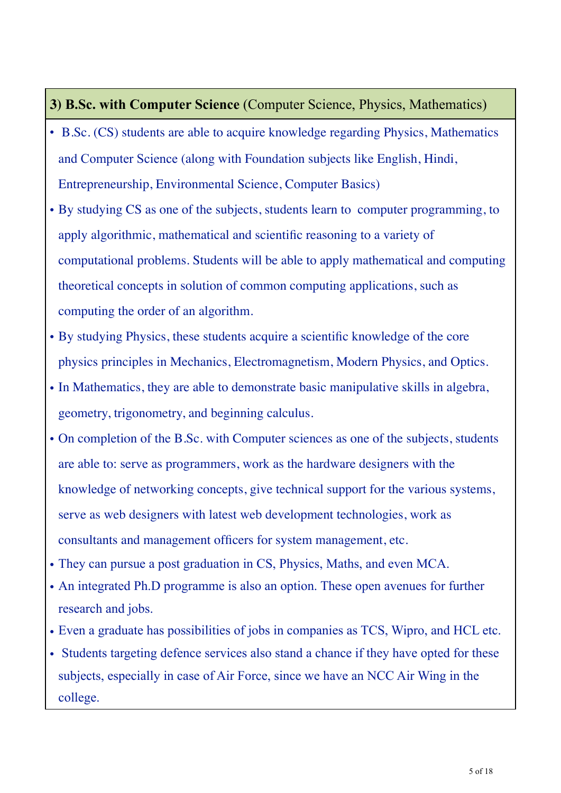#### **3) B.Sc. with Computer Science** (Computer Science, Physics, Mathematics)

- B.Sc. (CS) students are able to acquire knowledge regarding Physics, Mathematics and Computer Science (along with Foundation subjects like English, Hindi, Entrepreneurship, Environmental Science, Computer Basics)
- By studying CS as one of the subjects, students learn to computer programming, to apply algorithmic, mathematical and scientific reasoning to a variety of computational problems. Students will be able to apply mathematical and computing theoretical concepts in solution of common computing applications, such as computing the order of an algorithm.
- By studying Physics, these students acquire a scientific knowledge of the core physics principles in Mechanics, Electromagnetism, Modern Physics, and Optics.
- In Mathematics, they are able to demonstrate basic manipulative skills in algebra, geometry, trigonometry, and beginning calculus.
- On completion of the B.Sc. with Computer sciences as one of the subjects, students are able to: serve as programmers, work as the hardware designers with the knowledge of networking concepts, give technical support for the various systems, serve as web designers with latest web development technologies, work as consultants and management officers for system management, etc.
- They can pursue a post graduation in CS, Physics, Maths, and even MCA.
- An integrated Ph.D programme is also an option. These open avenues for further research and jobs.
- Even a graduate has possibilities of jobs in companies as TCS, Wipro, and HCL etc.
- Students targeting defence services also stand a chance if they have opted for these subjects, especially in case of Air Force, since we have an NCC Air Wing in the college.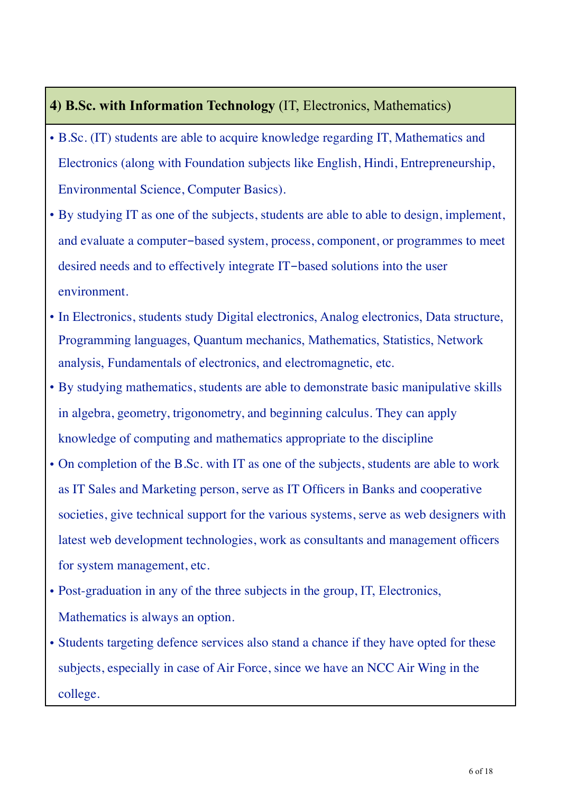### **4) B.Sc. with Information Technology** (IT, Electronics, Mathematics)

- B.Sc. (IT) students are able to acquire knowledge regarding IT, Mathematics and Electronics (along with Foundation subjects like English, Hindi, Entrepreneurship, Environmental Science, Computer Basics).
- By studying IT as one of the subjects, students are able to able to design, implement, and evaluate a computer-based system, process, component, or programmes to meet desired needs and to effectively integrate IT-based solutions into the user environment.
- In Electronics, students study Digital electronics, Analog electronics, Data structure, Programming languages, Quantum mechanics, Mathematics, Statistics, Network analysis, Fundamentals of electronics, and electromagnetic, etc.
- By studying mathematics, students are able to demonstrate basic manipulative skills in algebra, geometry, trigonometry, and beginning calculus. They can apply knowledge of computing and mathematics appropriate to the discipline
- On completion of the B.Sc. with IT as one of the subjects, students are able to work as IT Sales and Marketing person, serve as IT Officers in Banks and cooperative societies, give technical support for the various systems, serve as web designers with latest web development technologies, work as consultants and management officers for system management, etc.
- Post-graduation in any of the three subjects in the group, IT, Electronics, Mathematics is always an option.
- Students targeting defence services also stand a chance if they have opted for these subjects, especially in case of Air Force, since we have an NCC Air Wing in the college.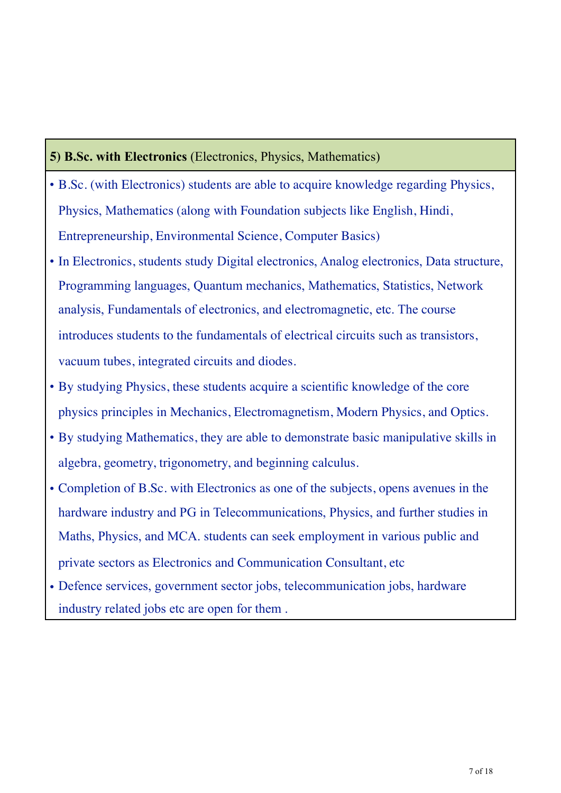#### **5) B.Sc. with Electronics** (Electronics, Physics, Mathematics)

- B.Sc. (with Electronics) students are able to acquire knowledge regarding Physics, Physics, Mathematics (along with Foundation subjects like English, Hindi, Entrepreneurship, Environmental Science, Computer Basics)
- In Electronics, students study Digital electronics, Analog electronics, Data structure, Programming languages, Quantum mechanics, Mathematics, Statistics, Network analysis, Fundamentals of electronics, and electromagnetic, etc. The course introduces students to the fundamentals of electrical circuits such as transistors, vacuum tubes, integrated circuits and diodes.
- By studying Physics, these students acquire a scientific knowledge of the core physics principles in Mechanics, Electromagnetism, Modern Physics, and Optics.
- By studying Mathematics, they are able to demonstrate basic manipulative skills in algebra, geometry, trigonometry, and beginning calculus.
- Completion of B.Sc. with Electronics as one of the subjects, opens avenues in the hardware industry and PG in Telecommunications, Physics, and further studies in Maths, Physics, and MCA. students can seek employment in various public and private sectors as Electronics and Communication Consultant, etc
- Defence services, government sector jobs, telecommunication jobs, hardware industry related jobs etc are open for them .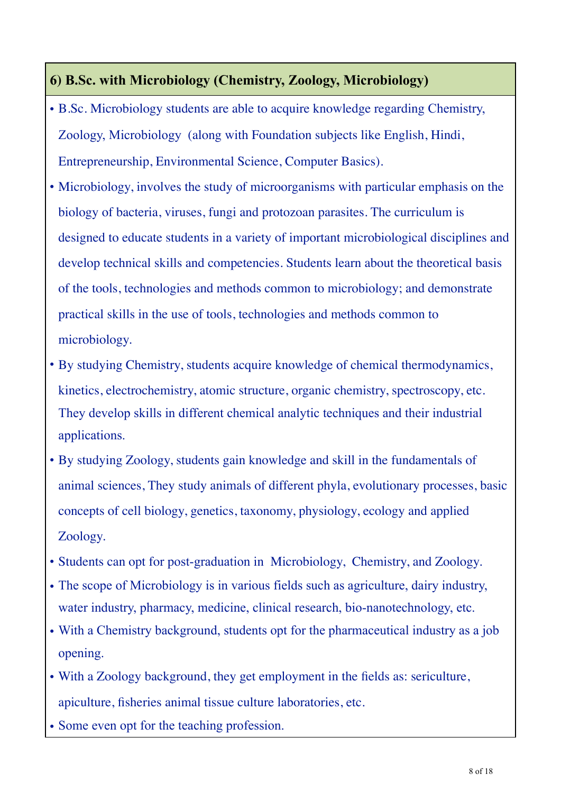### **6) B.Sc. with Microbiology (Chemistry, Zoology, Microbiology)**

- B.Sc. Microbiology students are able to acquire knowledge regarding Chemistry, Zoology, Microbiology (along with Foundation subjects like English, Hindi, Entrepreneurship, Environmental Science, Computer Basics).
- Microbiology, involves the study of microorganisms with particular emphasis on the biology of bacteria, viruses, fungi and protozoan parasites. The curriculum is designed to educate students in a variety of important microbiological disciplines and develop technical skills and competencies. Students learn about the theoretical basis of the tools, technologies and methods common to microbiology; and demonstrate practical skills in the use of tools, technologies and methods common to microbiology.
- By studying Chemistry, students acquire knowledge of chemical thermodynamics, kinetics, electrochemistry, atomic structure, organic chemistry, spectroscopy, etc. They develop skills in different chemical analytic techniques and their industrial applications.
- By studying Zoology, students gain knowledge and skill in the fundamentals of animal sciences, They study animals of different phyla, evolutionary processes, basic concepts of cell biology, genetics, taxonomy, physiology, ecology and applied Zoology.
- Students can opt for post-graduation in Microbiology, Chemistry, and Zoology.
- The scope of Microbiology is in various fields such as agriculture, dairy industry, water industry, pharmacy, medicine, clinical research, bio-nanotechnology, etc.
- With a Chemistry background, students opt for the pharmaceutical industry as a job opening.
- With a Zoology background, they get employment in the fields as: sericulture, apiculture, fisheries animal tissue culture laboratories, etc.
- Some even opt for the teaching profession.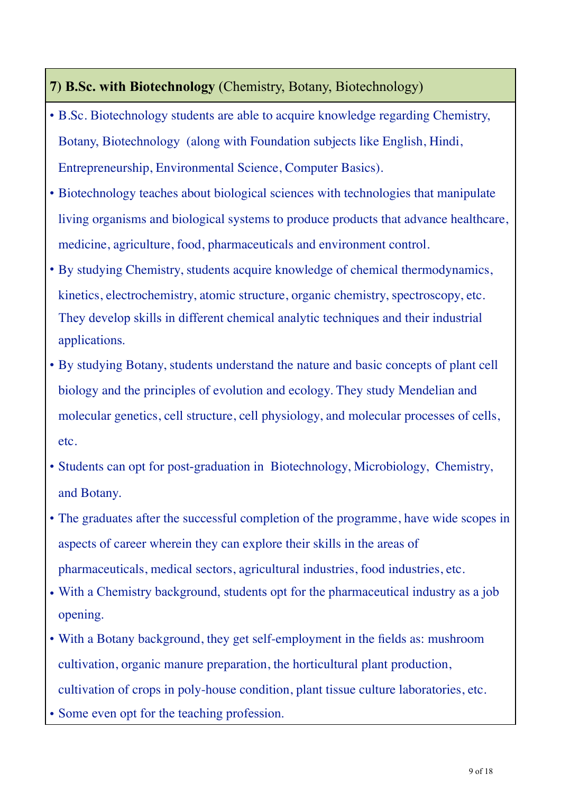### **7) B.Sc. with Biotechnology** (Chemistry, Botany, Biotechnology)

- B.Sc. Biotechnology students are able to acquire knowledge regarding Chemistry, Botany, Biotechnology (along with Foundation subjects like English, Hindi, Entrepreneurship, Environmental Science, Computer Basics).
- Biotechnology teaches about biological sciences with technologies that manipulate living organisms and biological systems to produce products that advance healthcare, medicine, agriculture, food, pharmaceuticals and environment control.
- By studying Chemistry, students acquire knowledge of chemical thermodynamics, kinetics, electrochemistry, atomic structure, organic chemistry, spectroscopy, etc. They develop skills in different chemical analytic techniques and their industrial applications.
- By studying Botany, students understand the nature and basic concepts of plant cell biology and the principles of evolution and ecology. They study Mendelian and molecular genetics, cell structure, cell physiology, and molecular processes of cells, etc.
- Students can opt for post-graduation in Biotechnology, Microbiology, Chemistry, and Botany.
- The graduates after the successful completion of the programme, have wide scopes in aspects of career wherein they can explore their skills in the areas of pharmaceuticals, medical sectors, agricultural industries, food industries, etc.
- With a Chemistry background, students opt for the pharmaceutical industry as a job opening.
- With a Botany background, they get self-employment in the fields as: mushroom cultivation, organic manure preparation, the horticultural plant production, cultivation of crops in poly-house condition, plant tissue culture laboratories, etc.
- Some even opt for the teaching profession.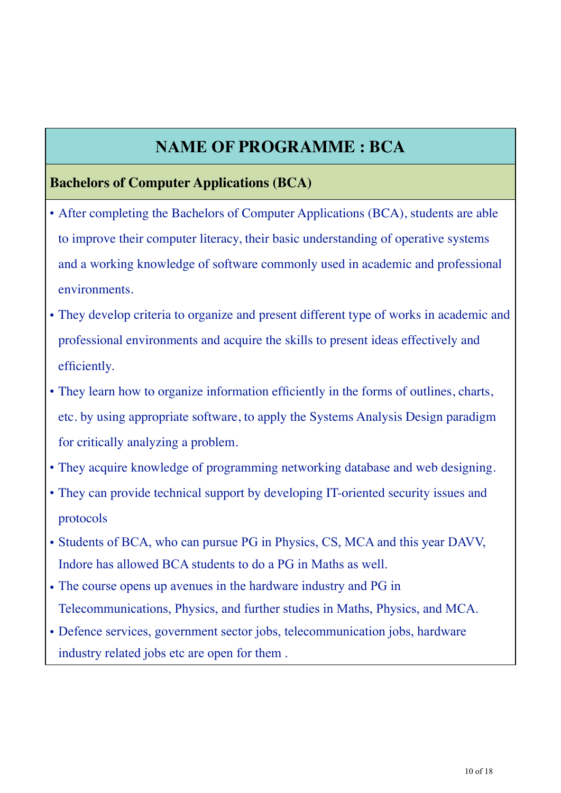## **NAME OF PROGRAMME : BCA**

#### **Bachelors of Computer Applications (BCA)**

- After completing the Bachelors of Computer Applications (BCA), students are able to improve their computer literacy, their basic understanding of operative systems and a working knowledge of software commonly used in academic and professional environments.
- They develop criteria to organize and present different type of works in academic and professional environments and acquire the skills to present ideas effectively and efficiently.
- They learn how to organize information efficiently in the forms of outlines, charts, etc. by using appropriate software, to apply the Systems Analysis Design paradigm for critically analyzing a problem.
- They acquire knowledge of programming networking database and web designing.
- They can provide technical support by developing IT-oriented security issues and protocols
- Students of BCA, who can pursue PG in Physics, CS, MCA and this year DAVV, Indore has allowed BCA students to do a PG in Maths as well.
- The course opens up avenues in the hardware industry and PG in Telecommunications, Physics, and further studies in Maths, Physics, and MCA.
- Defence services, government sector jobs, telecommunication jobs, hardware industry related jobs etc are open for them .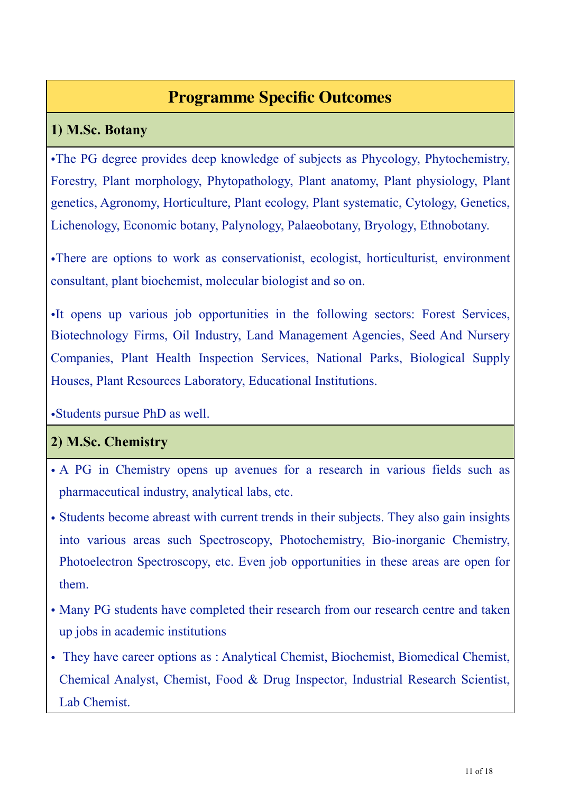# **Programme Specific Outcomes**

### **1) M.Sc. Botany**

•The PG degree provides deep knowledge of subjects as Phycology, Phytochemistry, Forestry, Plant morphology, Phytopathology, Plant anatomy, Plant physiology, Plant genetics, Agronomy, Horticulture, Plant ecology, Plant systematic, Cytology, Genetics, Lichenology, Economic botany, Palynology, Palaeobotany, Bryology, Ethnobotany.

•There are options to work as conservationist, ecologist, horticulturist, environment consultant, plant biochemist, molecular biologist and so on.

•It opens up various job opportunities in the following sectors: Forest Services, Biotechnology Firms, Oil Industry, Land Management Agencies, Seed And Nursery Companies, Plant Health Inspection Services, National Parks, Biological Supply Houses, Plant Resources Laboratory, Educational Institutions.

•Students pursue PhD as well.

### **2) M.Sc. Chemistry**

- A PG in Chemistry opens up avenues for a research in various fields such as pharmaceutical industry, analytical labs, etc.
- Students become abreast with current trends in their subjects. They also gain insights into various areas such Spectroscopy, Photochemistry, Bio-inorganic Chemistry, Photoelectron Spectroscopy, etc. Even job opportunities in these areas are open for them.
- Many PG students have completed their research from our research centre and taken up jobs in academic institutions
- They have career options as : Analytical Chemist, Biochemist, Biomedical Chemist, Chemical Analyst, Chemist, Food & Drug Inspector, Industrial Research Scientist, Lab Chemist.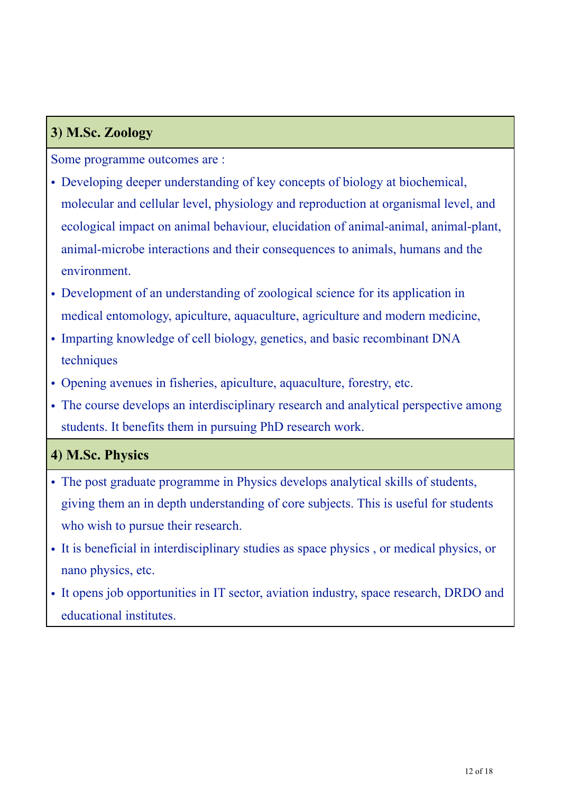### **3) M.Sc. Zoology**

Some programme outcomes are :

- Developing deeper understanding of key concepts of biology at biochemical, molecular and cellular level, physiology and reproduction at organismal level, and ecological impact on animal behaviour, elucidation of animal-animal, animal-plant, animal-microbe interactions and their consequences to animals, humans and the environment.
- Development of an understanding of zoological science for its application in medical entomology, apiculture, aquaculture, agriculture and modern medicine,
- Imparting knowledge of cell biology, genetics, and basic recombinant DNA techniques
- Opening avenues in fisheries, apiculture, aquaculture, forestry, etc.
- The course develops an interdisciplinary research and analytical perspective among students. It benefits them in pursuing PhD research work.

### **4) M.Sc. Physics**

- The post graduate programme in Physics develops analytical skills of students, giving them an in depth understanding of core subjects. This is useful for students who wish to pursue their research.
- It is beneficial in interdisciplinary studies as space physics , or medical physics, or nano physics, etc.
- It opens job opportunities in IT sector, aviation industry, space research, DRDO and educational institutes.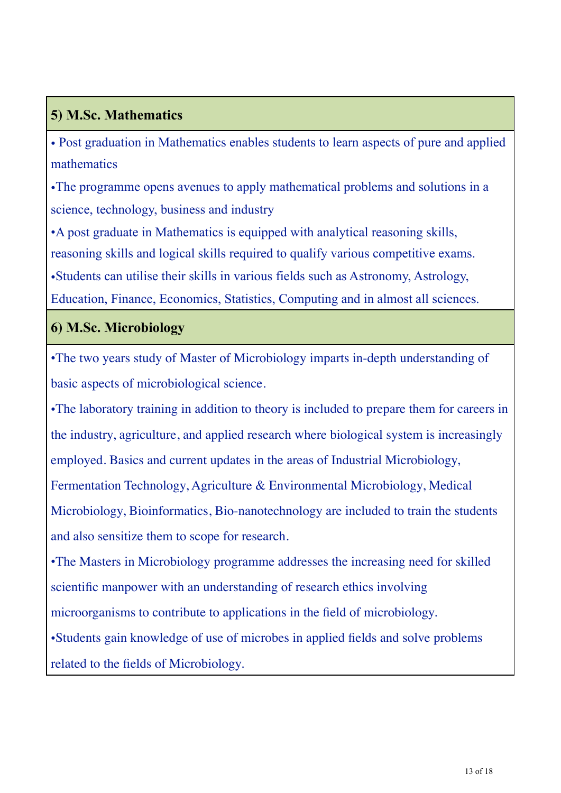## **5) M.Sc. Mathematics**

• Post graduation in Mathematics enables students to learn aspects of pure and applied mathematics

•The programme opens avenues to apply mathematical problems and solutions in a science, technology, business and industry

•A post graduate in Mathematics is equipped with analytical reasoning skills, reasoning skills and logical skills required to qualify various competitive exams. •Students can utilise their skills in various fields such as Astronomy, Astrology, Education, Finance, Economics, Statistics, Computing and in almost all sciences.

### **6) M.Sc. Microbiology**

•The two years study of Master of Microbiology imparts in-depth understanding of basic aspects of microbiological science.

•The laboratory training in addition to theory is included to prepare them for careers in the industry, agriculture, and applied research where biological system is increasingly employed. Basics and current updates in the areas of Industrial Microbiology, Fermentation Technology, Agriculture & Environmental Microbiology, Medical Microbiology, Bioinformatics, Bio-nanotechnology are included to train the students and also sensitize them to scope for research.

•The Masters in Microbiology programme addresses the increasing need for skilled scientific manpower with an understanding of research ethics involving microorganisms to contribute to applications in the field of microbiology. •Students gain knowledge of use of microbes in applied fields and solve problems related to the fields of Microbiology.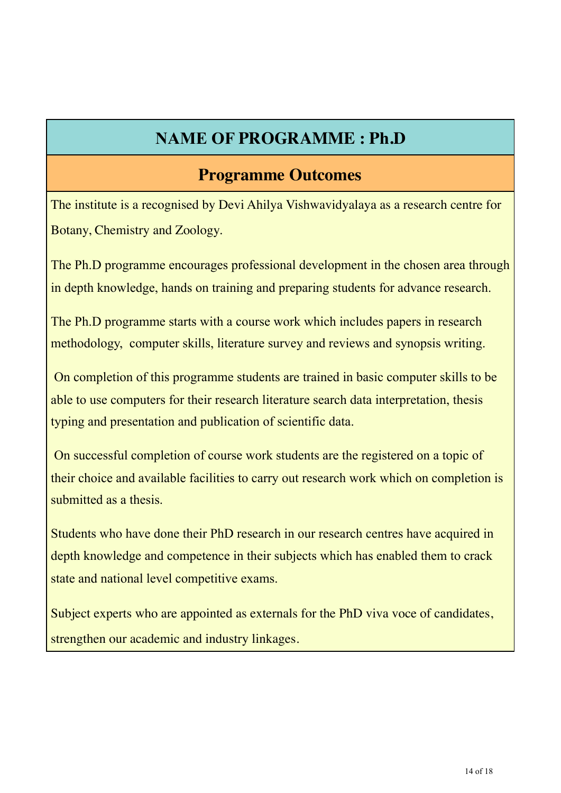## **NAME OF PROGRAMME : Ph.D**

## **Programme Outcomes**

The institute is a recognised by Devi Ahilya Vishwavidyalaya as a research centre for Botany, Chemistry and Zoology.

The Ph.D programme encourages professional development in the chosen area through in depth knowledge, hands on training and preparing students for advance research.

The Ph.D programme starts with a course work which includes papers in research methodology, computer skills, literature survey and reviews and synopsis writing.

 On completion of this programme students are trained in basic computer skills to be able to use computers for their research literature search data interpretation, thesis typing and presentation and publication of scientific data.

 On successful completion of course work students are the registered on a topic of their choice and available facilities to carry out research work which on completion is submitted as a thesis.

Students who have done their PhD research in our research centres have acquired in depth knowledge and competence in their subjects which has enabled them to crack state and national level competitive exams.

Subject experts who are appointed as externals for the PhD viva voce of candidates, strengthen our academic and industry linkages.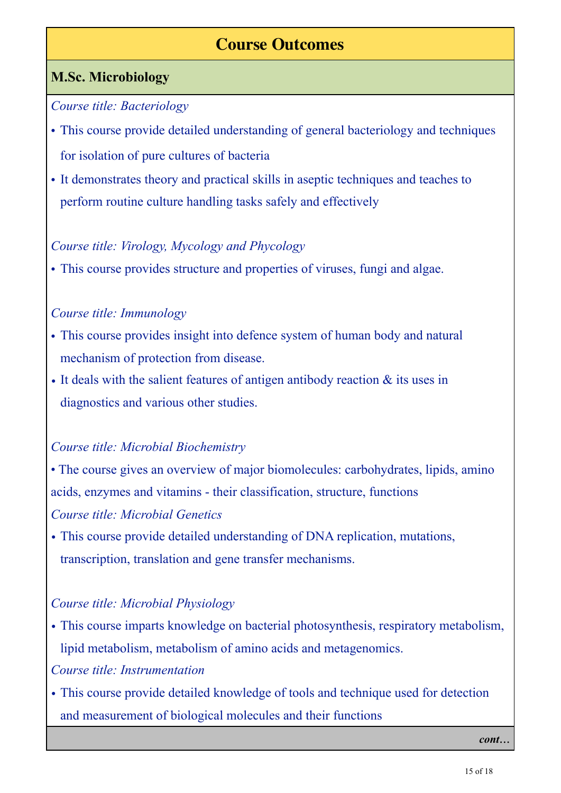## **Course Outcomes**

### **M.Sc. Microbiology**

#### *Course title: Bacteriology*

- This course provide detailed understanding of general bacteriology and techniques for isolation of pure cultures of bacteria
- It demonstrates theory and practical skills in aseptic techniques and teaches to perform routine culture handling tasks safely and effectively

#### *Course title: Virology, Mycology and Phycology*

• This course provides structure and properties of viruses, fungi and algae.

#### *Course title: Immunology*

- This course provides insight into defence system of human body and natural mechanism of protection from disease.
- It deals with the salient features of antigen antibody reaction  $\&$  its uses in diagnostics and various other studies.

### *Course title: Microbial Biochemistry*

• The course gives an overview of major biomolecules: carbohydrates, lipids, amino acids, enzymes and vitamins - their classification, structure, functions *Course title: Microbial Genetics* 

*•* This course provide detailed understanding of DNA replication, mutations, transcription, translation and gene transfer mechanisms.

#### *Course title: Microbial Physiology*

*•* This course imparts knowledge on bacterial photosynthesis, respiratory metabolism, lipid metabolism, metabolism of amino acids and metagenomics.

#### *Course title: Instrumentation*

*•* This course provide detailed knowledge of tools and technique used for detection and measurement of biological molecules and their functions

*cont*...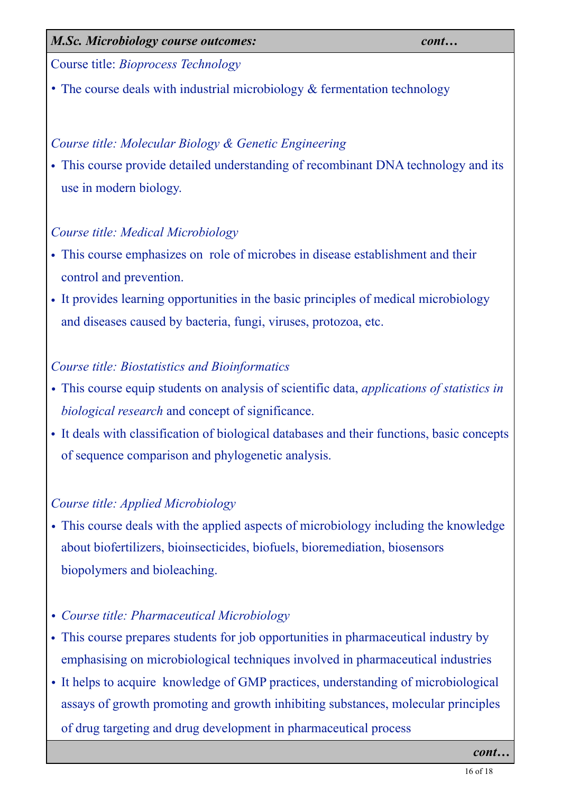16 of 18

#### *M.Sc. Microbiology course outcomes: cont…*

Course title: *Bioprocess Technology* 

*•* The course deals with industrial microbiology & fermentation technology

### *Course title: Molecular Biology & Genetic Engineering*

• This course provide detailed understanding of recombinant DNA technology and its use in modern biology.

### *Course title: Medical Microbiology*

- This course emphasizes on role of microbes in disease establishment and their control and prevention.
- It provides learning opportunities in the basic principles of medical microbiology and diseases caused by bacteria, fungi, viruses, protozoa, etc.

### *Course title: Biostatistics and Bioinformatics*

- *•* This course equip students on analysis of scientific data, *applications of statistics in biological research* and concept of significance.
- It deals with classification of biological databases and their functions, basic concepts of sequence comparison and phylogenetic analysis.

### *Course title: Applied Microbiology*

- *•* This course deals with the applied aspects of microbiology including the knowledge about biofertilizers, bioinsecticides, biofuels, bioremediation, biosensors biopolymers and bioleaching.
- *• Course title: Pharmaceutical Microbiology*
- This course prepares students for job opportunities in pharmaceutical industry by emphasising on microbiological techniques involved in pharmaceutical industries
- It helps to acquire knowledge of GMP practices, understanding of microbiological assays of growth promoting and growth inhibiting substances, molecular principles of drug targeting and drug development in pharmaceutical process